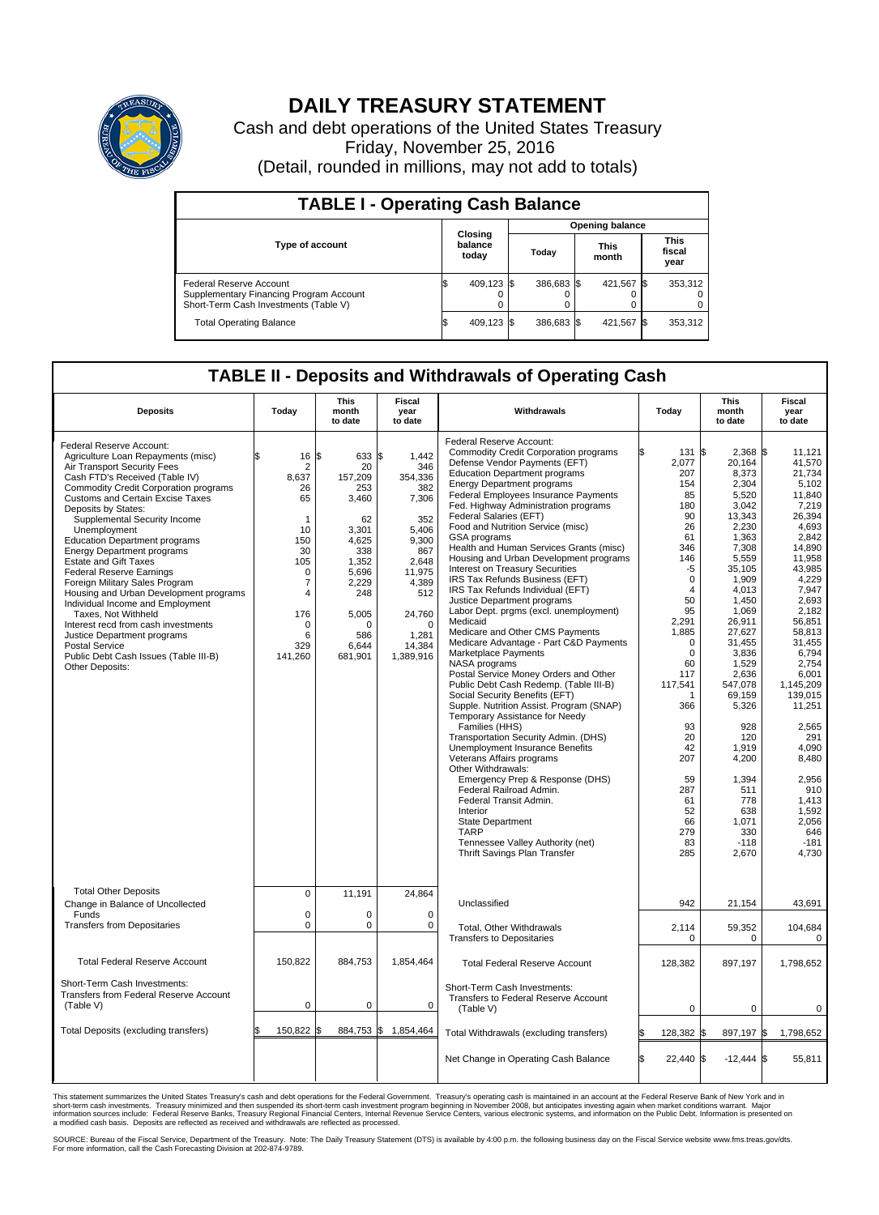

## **DAILY TREASURY STATEMENT**

Cash and debt operations of the United States Treasury Friday, November 25, 2016 (Detail, rounded in millions, may not add to totals)

| <b>TABLE I - Operating Cash Balance</b>                                                                     |  |                             |  |                        |  |                      |  |                               |  |  |  |
|-------------------------------------------------------------------------------------------------------------|--|-----------------------------|--|------------------------|--|----------------------|--|-------------------------------|--|--|--|
|                                                                                                             |  | Closing<br>balance<br>today |  | <b>Opening balance</b> |  |                      |  |                               |  |  |  |
| <b>Type of account</b>                                                                                      |  |                             |  | Today                  |  | <b>This</b><br>month |  | <b>This</b><br>fiscal<br>year |  |  |  |
| Federal Reserve Account<br>Supplementary Financing Program Account<br>Short-Term Cash Investments (Table V) |  | 409.123                     |  | 386.683 \$             |  | 421.567 \$           |  | 353,312                       |  |  |  |
| <b>Total Operating Balance</b>                                                                              |  | 409,123 \$                  |  | 386,683 \$             |  | 421,567 \$           |  | 353,312                       |  |  |  |

## **TABLE II - Deposits and Withdrawals of Operating Cash**

| <b>Deposits</b>                                                                                                                                                                                                                                                                                                                                                                                                                                                                                                                                                                                                                                                                                                                                     | Today                                                                                                                                                                        | This<br>month<br>to date                                                                                                                                 | Fiscal<br>year<br>to date                                                                                                                                        | Withdrawals                                                                                                                                                                                                                                                                                                                                                                                                                                                                                                                                                                                                                                                                                                                                                                                                                                                                                                                                                                                                                                                                                                                                                                                                                                                                                                                                | Today                                                                                                                                                                       | <b>This</b><br>month<br>to date                                                                                                                                                                                                                                                                                                                                                                                                                              | Fiscal<br>year<br>to date                                                                                                                                                                                                                                                                                                                              |
|-----------------------------------------------------------------------------------------------------------------------------------------------------------------------------------------------------------------------------------------------------------------------------------------------------------------------------------------------------------------------------------------------------------------------------------------------------------------------------------------------------------------------------------------------------------------------------------------------------------------------------------------------------------------------------------------------------------------------------------------------------|------------------------------------------------------------------------------------------------------------------------------------------------------------------------------|----------------------------------------------------------------------------------------------------------------------------------------------------------|------------------------------------------------------------------------------------------------------------------------------------------------------------------|--------------------------------------------------------------------------------------------------------------------------------------------------------------------------------------------------------------------------------------------------------------------------------------------------------------------------------------------------------------------------------------------------------------------------------------------------------------------------------------------------------------------------------------------------------------------------------------------------------------------------------------------------------------------------------------------------------------------------------------------------------------------------------------------------------------------------------------------------------------------------------------------------------------------------------------------------------------------------------------------------------------------------------------------------------------------------------------------------------------------------------------------------------------------------------------------------------------------------------------------------------------------------------------------------------------------------------------------|-----------------------------------------------------------------------------------------------------------------------------------------------------------------------------|--------------------------------------------------------------------------------------------------------------------------------------------------------------------------------------------------------------------------------------------------------------------------------------------------------------------------------------------------------------------------------------------------------------------------------------------------------------|--------------------------------------------------------------------------------------------------------------------------------------------------------------------------------------------------------------------------------------------------------------------------------------------------------------------------------------------------------|
| Federal Reserve Account:<br>Agriculture Loan Repayments (misc)<br>Air Transport Security Fees<br>Cash FTD's Received (Table IV)<br><b>Commodity Credit Corporation programs</b><br><b>Customs and Certain Excise Taxes</b><br>Deposits by States:<br>Supplemental Security Income<br>Unemployment<br><b>Education Department programs</b><br><b>Energy Department programs</b><br><b>Estate and Gift Taxes</b><br><b>Federal Reserve Earnings</b><br>Foreign Military Sales Program<br>Housing and Urban Development programs<br>Individual Income and Employment<br>Taxes. Not Withheld<br>Interest recd from cash investments<br>Justice Department programs<br><b>Postal Service</b><br>Public Debt Cash Issues (Table III-B)<br>Other Deposits: | \$<br>16<br>$\overline{2}$<br>8,637<br>26<br>65<br>$\mathbf{1}$<br>10<br>150<br>30<br>105<br>$\mathbf 0$<br>$\overline{7}$<br>4<br>176<br>$\mathbf 0$<br>6<br>329<br>141,260 | 633 \$<br>l\$<br>20<br>157,209<br>253<br>3,460<br>62<br>3,301<br>4,625<br>338<br>1,352<br>5,696<br>2,229<br>248<br>5,005<br>O<br>586<br>6,644<br>681,901 | 1.442<br>346<br>354,336<br>382<br>7,306<br>352<br>5.406<br>9,300<br>867<br>2,648<br>11,975<br>4,389<br>512<br>24,760<br>$\Omega$<br>1,281<br>14,384<br>1,389,916 | Federal Reserve Account:<br><b>Commodity Credit Corporation programs</b><br>Defense Vendor Payments (EFT)<br><b>Education Department programs</b><br><b>Energy Department programs</b><br><b>Federal Employees Insurance Payments</b><br>Fed. Highway Administration programs<br>Federal Salaries (EFT)<br>Food and Nutrition Service (misc)<br>GSA programs<br>Health and Human Services Grants (misc)<br>Housing and Urban Development programs<br>Interest on Treasury Securities<br>IRS Tax Refunds Business (EFT)<br>IRS Tax Refunds Individual (EFT)<br>Justice Department programs<br>Labor Dept. prgms (excl. unemployment)<br>Medicaid<br>Medicare and Other CMS Payments<br>Medicare Advantage - Part C&D Payments<br>Marketplace Payments<br>NASA programs<br>Postal Service Money Orders and Other<br>Public Debt Cash Redemp. (Table III-B)<br>Social Security Benefits (EFT)<br>Supple. Nutrition Assist. Program (SNAP)<br>Temporary Assistance for Needy<br>Families (HHS)<br>Transportation Security Admin. (DHS)<br>Unemployment Insurance Benefits<br>Veterans Affairs programs<br>Other Withdrawals:<br>Emergency Prep & Response (DHS)<br>Federal Railroad Admin.<br>Federal Transit Admin.<br>Interior<br><b>State Department</b><br><b>TARP</b><br>Tennessee Valley Authority (net)<br>Thrift Savings Plan Transfer | 2,077<br>207<br>154<br>85<br>180<br>90<br>26<br>61<br>346<br>146<br>2,291<br>1.885<br>60<br>117<br>117,541<br>366<br>207<br>59<br>287<br>61<br>52<br>66<br>279<br>83<br>285 | 2,368 \$<br>131 \$<br>20,164<br>8.373<br>2,304<br>5,520<br>3,042<br>13,343<br>2,230<br>1.363<br>7,308<br>5,559<br>-5<br>35,105<br>$\mathbf 0$<br>1,909<br>4.013<br>$\overline{4}$<br>50<br>1,450<br>95<br>1,069<br>26,911<br>27,627<br>31,455<br>$\mathbf 0$<br>3,836<br>$\mathbf 0$<br>1.529<br>2,636<br>547,078<br>69,159<br>1<br>5,326<br>93<br>928<br>20<br>120<br>42<br>1,919<br>4,200<br>1,394<br>511<br>778<br>638<br>1,071<br>330<br>$-118$<br>2,670 | 11,121<br>41.570<br>21.734<br>5,102<br>11.840<br>7,219<br>26.394<br>4,693<br>2.842<br>14,890<br>11,958<br>43,985<br>4,229<br>7.947<br>2,693<br>2,182<br>56,851<br>58.813<br>31,455<br>6,794<br>2.754<br>6,001<br>1,145,209<br>139,015<br>11,251<br>2,565<br>291<br>4,090<br>8.480<br>2.956<br>910<br>1,413<br>1,592<br>2,056<br>646<br>$-181$<br>4,730 |
| <b>Total Other Deposits</b><br>Change in Balance of Uncollected                                                                                                                                                                                                                                                                                                                                                                                                                                                                                                                                                                                                                                                                                     | $\mathbf 0$                                                                                                                                                                  | 11,191                                                                                                                                                   | 24,864                                                                                                                                                           | Unclassified                                                                                                                                                                                                                                                                                                                                                                                                                                                                                                                                                                                                                                                                                                                                                                                                                                                                                                                                                                                                                                                                                                                                                                                                                                                                                                                               | 942                                                                                                                                                                         | 21,154                                                                                                                                                                                                                                                                                                                                                                                                                                                       | 43,691                                                                                                                                                                                                                                                                                                                                                 |
| Funds<br><b>Transfers from Depositaries</b>                                                                                                                                                                                                                                                                                                                                                                                                                                                                                                                                                                                                                                                                                                         | $\mathbf 0$<br>$\mathbf 0$                                                                                                                                                   | 0<br>$\Omega$                                                                                                                                            | $\mathbf 0$<br>$\Omega$                                                                                                                                          | Total, Other Withdrawals<br><b>Transfers to Depositaries</b>                                                                                                                                                                                                                                                                                                                                                                                                                                                                                                                                                                                                                                                                                                                                                                                                                                                                                                                                                                                                                                                                                                                                                                                                                                                                               | 2,114                                                                                                                                                                       | 59,352<br>$\mathbf 0$<br>0                                                                                                                                                                                                                                                                                                                                                                                                                                   | 104,684<br>$\mathbf 0$                                                                                                                                                                                                                                                                                                                                 |
| <b>Total Federal Reserve Account</b>                                                                                                                                                                                                                                                                                                                                                                                                                                                                                                                                                                                                                                                                                                                | 150,822                                                                                                                                                                      | 884,753                                                                                                                                                  | 1,854,464                                                                                                                                                        | <b>Total Federal Reserve Account</b>                                                                                                                                                                                                                                                                                                                                                                                                                                                                                                                                                                                                                                                                                                                                                                                                                                                                                                                                                                                                                                                                                                                                                                                                                                                                                                       | 128,382                                                                                                                                                                     | 897,197                                                                                                                                                                                                                                                                                                                                                                                                                                                      | 1,798,652                                                                                                                                                                                                                                                                                                                                              |
| Short-Term Cash Investments:<br>Transfers from Federal Reserve Account<br>(Table V)                                                                                                                                                                                                                                                                                                                                                                                                                                                                                                                                                                                                                                                                 | $\pmb{0}$                                                                                                                                                                    | 0                                                                                                                                                        | $\mathbf 0$                                                                                                                                                      | Short-Term Cash Investments:<br>Transfers to Federal Reserve Account<br>(Table V)                                                                                                                                                                                                                                                                                                                                                                                                                                                                                                                                                                                                                                                                                                                                                                                                                                                                                                                                                                                                                                                                                                                                                                                                                                                          |                                                                                                                                                                             | $\Omega$<br>0                                                                                                                                                                                                                                                                                                                                                                                                                                                | 0                                                                                                                                                                                                                                                                                                                                                      |
| Total Deposits (excluding transfers)                                                                                                                                                                                                                                                                                                                                                                                                                                                                                                                                                                                                                                                                                                                | 150,822                                                                                                                                                                      | 884,753 \$                                                                                                                                               | 1,854,464                                                                                                                                                        | Total Withdrawals (excluding transfers)                                                                                                                                                                                                                                                                                                                                                                                                                                                                                                                                                                                                                                                                                                                                                                                                                                                                                                                                                                                                                                                                                                                                                                                                                                                                                                    | 128,382<br>ß.                                                                                                                                                               | 897,197 \$<br>I\$                                                                                                                                                                                                                                                                                                                                                                                                                                            | 1,798,652                                                                                                                                                                                                                                                                                                                                              |
|                                                                                                                                                                                                                                                                                                                                                                                                                                                                                                                                                                                                                                                                                                                                                     |                                                                                                                                                                              |                                                                                                                                                          |                                                                                                                                                                  | Net Change in Operating Cash Balance                                                                                                                                                                                                                                                                                                                                                                                                                                                                                                                                                                                                                                                                                                                                                                                                                                                                                                                                                                                                                                                                                                                                                                                                                                                                                                       | Ŝ.<br>22.440 \$                                                                                                                                                             | $-12,444$ \$                                                                                                                                                                                                                                                                                                                                                                                                                                                 | 55,811                                                                                                                                                                                                                                                                                                                                                 |

This statement summarizes the United States Treasury's cash and debt operations for the Federal Government. Treasury's operating cash is maintained in an account at the Federal Reserve Bank of New York and in<br>short-term ca

SOURCE: Bureau of the Fiscal Service, Department of the Treasury. Note: The Daily Treasury Statement (DTS) is available by 4:00 p.m. the following business day on the Fiscal Service website www.fms.treas.gov/dts.<br>For more